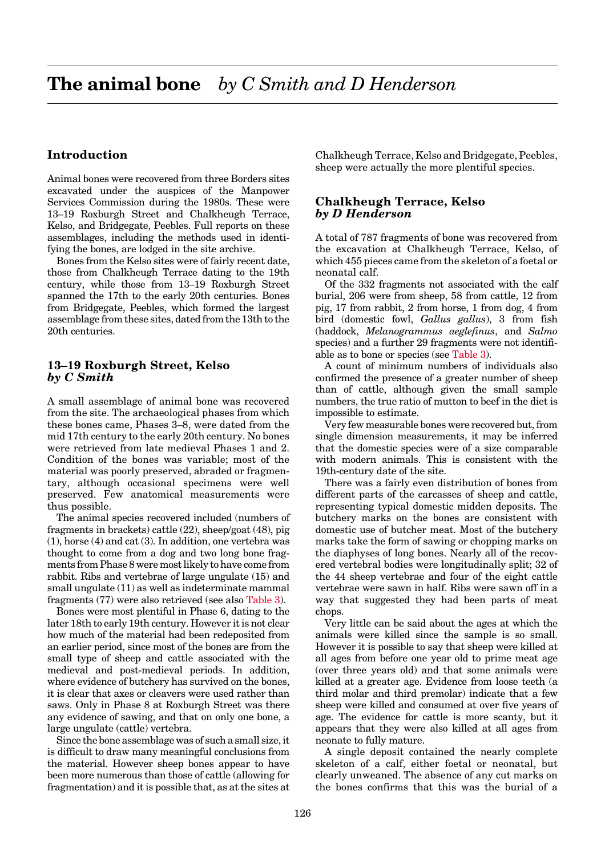# <span id="page-0-0"></span>**Introduction**

Animal bones were recovered from three Borders sites excavated under the auspices of the Manpower Services Commission during the 1980s. These were 13–19 Roxburgh Street and Chalkheugh Terrace, Kelso, and Bridgegate, Peebles. Full reports on these assemblages, including the methods used in identifying the bones, are lodged in the site archive.

Bones from the Kelso sites were of fairly recent date, those from Chalkheugh Terrace dating to the 19th century, while those from 13–19 Roxburgh Street spanned the 17th to the early 20th centuries. Bones from Bridgegate, Peebles, which formed the largest assemblage from these sites, dated from the 13th to the 20th centuries.

## **13–19 Roxburgh Street, Kelso** *by C Smith*

A small assemblage of animal bone was recovered from the site. The archaeological phases from which these bones came, Phases 3–8, were dated from the mid 17th century to the early 20th century. No bones were retrieved from late medieval Phases 1 and 2. Condition of the bones was variable; most of the material was poorly preserved, abraded or fragmentary, although occasional specimens were well preserved. Few anatomical measurements were thus possible.

The animal species recovered included (numbers of fragments in brackets) cattle (22), sheep/goat (48), pig (1), horse (4) and cat (3). In addition, one vertebra was thought to come from a dog and two long bone fragments from Phase 8 were most likely to have come from rabbit. Ribs and vertebrae of large ungulate (15) and small ungulate (11) as well as indeterminate mammal fragments (77) were also retrieved (see also [Table 3\).](#page-1-0)

Bones were most plentiful in Phase 6, dating to the later 18th to early 19th century. However it is not clear how much of the material had been redeposited from an earlier period, since most of the bones are from the small type of sheep and cattle associated with the medieval and post-medieval periods. In addition, where evidence of butchery has survived on the bones, it is clear that axes or cleavers were used rather than saws. Only in Phase 8 at Roxburgh Street was there any evidence of sawing, and that on only one bone, a large ungulate (cattle) vertebra.

Since the bone assemblage was of such a small size, it is difficult to draw many meaningful conclusions from the material. However sheep bones appear to have been more numerous than those of cattle (allowing for fragmentation) and it is possible that, as at the sites at Chalkheugh Terrace, Kelso and Bridgegate, Peebles, sheep were actually the more plentiful species.

# **Chalkheugh Terrace, Kelso** *by D Henderson*

A total of 787 fragments of bone was recovered from the excavation at Chalkheugh Terrace, Kelso, of which 455 pieces came from the skeleton of a foetal or neonatal calf.

Of the 332 fragments not associated with the calf burial, 206 were from sheep, 58 from cattle, 12 from pig, 17 from rabbit, 2 from horse, 1 from dog, 4 from bird (domestic fowl, *Gallus gallus*), 3 from fish (haddock, *Melanogrammus aeglefinus*, and *Salmo* species) and a further 29 fragments were not identifiable as to bone or species (see [Table 3\).](#page-1-0)

A count of minimum numbers of individuals also confirmed the presence of a greater number of sheep than of cattle, although given the small sample numbers, the true ratio of mutton to beef in the diet is impossible to estimate.

Very few measurable bones were recovered but, from single dimension measurements, it may be inferred that the domestic species were of a size comparable with modern animals. This is consistent with the 19th-century date of the site.

There was a fairly even distribution of bones from different parts of the carcasses of sheep and cattle, representing typical domestic midden deposits. The butchery marks on the bones are consistent with domestic use of butcher meat. Most of the butchery marks take the form of sawing or chopping marks on the diaphyses of long bones. Nearly all of the recovered vertebral bodies were longitudinally split; 32 of the 44 sheep vertebrae and four of the eight cattle vertebrae were sawn in half. Ribs were sawn off in a way that suggested they had been parts of meat chops.

Very little can be said about the ages at which the animals were killed since the sample is so small. However it is possible to say that sheep were killed at all ages from before one year old to prime meat age (over three years old) and that some animals were killed at a greater age. Evidence from loose teeth (a third molar and third premolar) indicate that a few sheep were killed and consumed at over five years of age. The evidence for cattle is more scanty, but it appears that they were also killed at all ages from neonate to fully mature.

A single deposit contained the nearly complete skeleton of a calf, either foetal or neonatal, but clearly unweaned. The absence of any cut marks on the bones confirms that this was the burial of a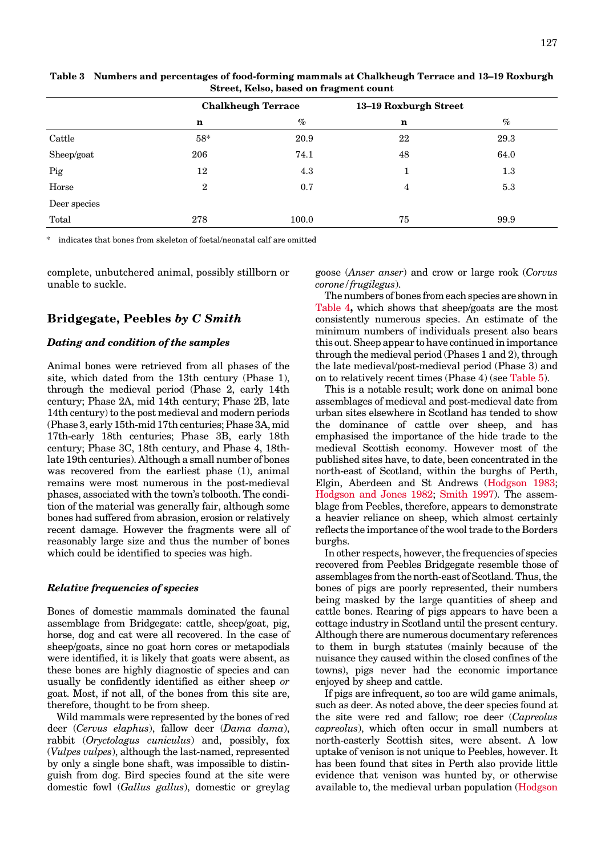|              | <b>Chalkheugh Terrace</b> |       | 13-19 Roxburgh Street |      |  |
|--------------|---------------------------|-------|-----------------------|------|--|
|              | $\mathbf n$               | $\%$  | $\mathbf n$           | $\%$ |  |
| Cattle       | $58*$                     | 20.9  | 22                    | 29.3 |  |
| Sheep/goat   | 206                       | 74.1  | 48                    | 64.0 |  |
| Pig          | 12                        | 4.3   |                       | 1.3  |  |
| Horse        | $\overline{2}$            | 0.7   | 4                     | 5.3  |  |
| Deer species |                           |       |                       |      |  |
| Total        | 278                       | 100.0 | 75                    | 99.9 |  |
|              |                           |       |                       |      |  |

<span id="page-1-0"></span>**Table 3 Numbers and percentages of food-forming mammals at Chalkheugh Terrace and 13–19 Roxburgh Street, Kelso, based on fragment count**

indicates that bones from skeleton of foetal/neonatal calf are omitted

complete, unbutchered animal, possibly stillborn or unable to suckle.

#### **Bridgegate, Peebles** *by C Smith*

#### *Dating and condition of the samples*

Animal bones were retrieved from all phases of the site, which dated from the 13th century (Phase 1), through the medieval period (Phase 2, early 14th century; Phase 2A, mid 14th century; Phase 2B, late 14th century) to the post medieval and modern periods (Phase 3, early 15th-mid 17th centuries; Phase 3A, mid 17th-early 18th centuries; Phase 3B, early 18th century; Phase 3C, 18th century, and Phase 4, 18thlate 19th centuries). Although a small number of bones was recovered from the earliest phase (1), animal remains were most numerous in the post-medieval phases, associated with the town's tolbooth. The condition of the material was generally fair, although some bones had suffered from abrasion, erosion or relatively recent damage. However the fragments were all of reasonably large size and thus the number of bones which could be identified to species was high.

#### *Relative frequencies of species*

Bones of domestic mammals dominated the faunal assemblage from Bridgegate: cattle, sheep/goat, pig, horse, dog and cat were all recovered. In the case of sheep/goats, since no goat horn cores or metapodials were identified, it is likely that goats were absent, as these bones are highly diagnostic of species and can usually be confidently identified as either sheep *or* goat. Most, if not all, of the bones from this site are, therefore, thought to be from sheep.

Wild mammals were represented by the bones of red deer (*Cervus elaphus*), fallow deer (*Dama dama*), rabbit (*Oryctolagus cuniculus*) and, possibly, fox (*Vulpes vulpes*), although the last-named, represented by only a single bone shaft, was impossible to distinguish from dog. Bird species found at the site were domestic fowl (*Gallus gallus*), domestic or greylag goose (*Anser anser*) and crow or large rook (*Corvus corone/frugilegus*).

The numbers of bones from each species are shown in [Table 4](#page-2-0)**,** which shows that sheep/goats are the most consistently numerous species. An estimate of the minimum numbers of individuals present also bears this out. Sheep appear to have continued in importance through the medieval period (Phases 1 and 2), through the late medieval/post-medieval period (Phase 3) and on to relatively recent times (Phase 4) (see [Table 5\).](#page-3-0)

This is a notable result; work done on animal bone assemblages of medieval and post-medieval date from urban sites elsewhere in Scotland has tended to show the dominance of cattle over sheep, and has emphasised the importance of the hide trade to the medieval Scottish economy. However most of the published sites have, to date, been concentrated in the north-east of Scotland, within the burghs of Perth, Elgin, Aberdeen and St Andrews (Hodgson 1983; Hodgson and Jones 1982; [Smith 1997\).](#page-2-0) The assemblage from Peebles, therefore, appears to demonstrate a heavier reliance on sheep, which almost certainly reflects the importance of the wool trade to the Borders burghs.

In other respects, however, the frequencies of species recovered from Peebles Bridgegate resemble those of assemblages from the north-east of Scotland. Thus, the bones of pigs are poorly represented, their numbers being masked by the large quantities of sheep and cattle bones. Rearing of pigs appears to have been a cottage industry in Scotland until the present century. Although there are numerous documentary references to them in burgh statutes (mainly because of the nuisance they caused within the closed confines of the towns), pigs never had the economic importance enjoyed by sheep and cattle.

If pigs are infrequent, so too are wild game animals, such as deer. As noted above, the deer species found at the site were red and fallow; roe deer (*Capreolus capreolus*), which often occur in small numbers at north-easterly Scottish sites, were absent. A low uptake of venison is not unique to Peebles, however. It has been found that sites in Perth also provide little evidence that venison was hunted by, or otherwise available to, the medieval urban population (Hodgson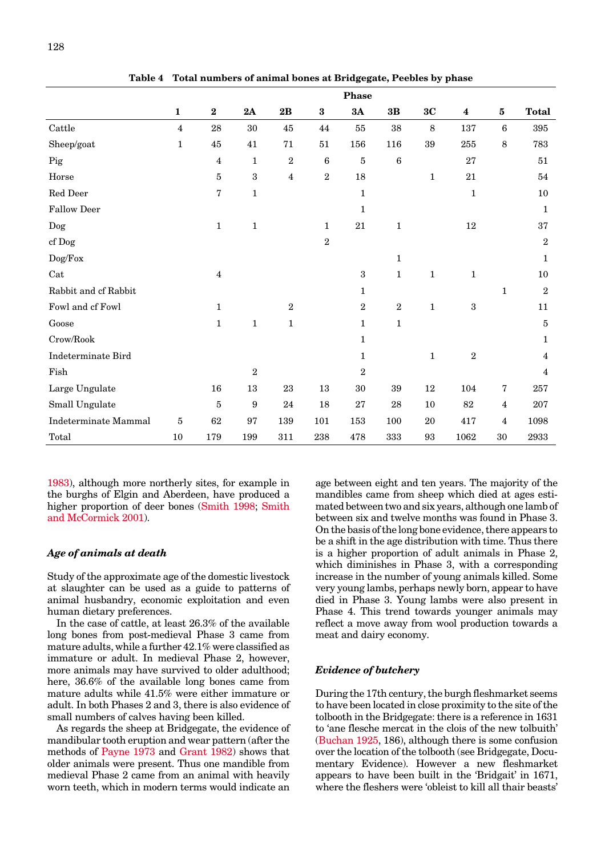<span id="page-2-0"></span>

|                             | Phase          |                |                  |                  |                |                |                  |              |                  |                 |                |
|-----------------------------|----------------|----------------|------------------|------------------|----------------|----------------|------------------|--------------|------------------|-----------------|----------------|
|                             | $\mathbf{1}$   | $\bf 2$        | 2A               | 2B               | $\bf{3}$       | 3A             | 3B               | 3C           | $\boldsymbol{4}$ | $\bf{5}$        | <b>Total</b>   |
| Cattle                      | $\overline{4}$ | 28             | $30\,$           | 45               | 44             | 55             | 38               | 8            | 137              | $6\phantom{1}6$ | 395            |
| Sheep/goat                  | $\mathbf 1$    | 45             | 41               | 71               | 51             | 156            | 116              | 39           | 255              | $\,8\,$         | 783            |
| Pig                         |                | $\overline{4}$ | $\mathbf{1}$     | $\,2$            | 6              | $\bf 5$        | $\boldsymbol{6}$ |              | 27               |                 | 51             |
| Horse                       |                | $\bf 5$        | $\boldsymbol{3}$ | $\overline{4}$   | $\overline{2}$ | $18\,$         |                  | $\mathbf{1}$ | 21               |                 | 54             |
| Red Deer                    |                | 7              | $\mathbf 1$      |                  |                | $\mathbf 1$    |                  |              | $\mathbf{1}$     |                 | 10             |
| <b>Fallow Deer</b>          |                |                |                  |                  |                | $\mathbf{1}$   |                  |              |                  |                 | $\mathbf{1}$   |
| $\operatorname{Dog}$        |                | $\mathbf{1}$   | $\mathbf{1}$     |                  | 1              | 21             | $\mathbf{1}$     |              | 12               |                 | 37             |
| cf Dog                      |                |                |                  |                  | $\overline{2}$ |                |                  |              |                  |                 | $\sqrt{2}$     |
| Dog/Fox                     |                |                |                  |                  |                |                | $\mathbf{1}$     |              |                  |                 | $\mathbf{1}$   |
| Cat                         |                | $\overline{4}$ |                  |                  |                | 3              | $\mathbf{1}$     | $\mathbf{1}$ | $\mathbf 1$      |                 | 10             |
| Rabbit and cf Rabbit        |                |                |                  |                  |                | $\mathbf{1}$   |                  |              |                  | $\mathbf{1}$    | $\overline{2}$ |
| Fowl and cf Fowl            |                | $\mathbf{1}$   |                  | $\boldsymbol{2}$ |                | $\overline{2}$ | $\,2$            | $\mathbf{1}$ | $\sqrt{3}$       |                 | 11             |
| Goose                       |                | $\mathbf{1}$   | $\mathbf 1$      | $\mathbf{1}$     |                | $\mathbf{1}$   | $\mathbf 1$      |              |                  |                 | 5              |
| Crow/Book                   |                |                |                  |                  |                | $\mathbf{1}$   |                  |              |                  |                 | $\mathbf 1$    |
| <b>Indeterminate Bird</b>   |                |                |                  |                  |                | $\mathbf 1$    |                  | $\mathbf 1$  | $\sqrt{2}$       |                 | $\overline{4}$ |
| Fish                        |                |                | $\sqrt{2}$       |                  |                | $\sqrt{2}$     |                  |              |                  |                 | $\overline{4}$ |
| Large Ungulate              |                | 16             | 13               | 23               | 13             | $30\,$         | 39               | 12           | 104              | 7               | 257            |
| Small Ungulate              |                | $\bf 5$        | $\boldsymbol{9}$ | 24               | 18             | 27             | 28               | $10\,$       | 82               | $\overline{4}$  | 207            |
| <b>Indeterminate Mammal</b> | 5              | 62             | 97               | 139              | 101            | 153            | 100              | $20\,$       | 417              | 4               | 1098           |
| Total                       | 10             | 179            | 199              | 311              | 238            | 478            | 333              | 93           | 1062             | 30              | 2933           |

**Table 4 Total numbers of animal bones at Bridgegate, Peebles by phase**

[1983\),](#page-1-0) although more northerly sites, for example in the burghs of Elgin and Aberdeen, have produced a higher proportion of deer bones (Smith 1998; Smith and McCormick 2001).

### *Age of animals at death*

Study of the approximate age of the domestic livestock at slaughter can be used as a guide to patterns of animal husbandry, economic exploitation and even human dietary preferences.

In the case of cattle, at least 26.3% of the available long bones from post-medieval Phase 3 came from mature adults, while a further 42.1% were classified as immature or adult. In medieval Phase 2, however, more animals may have survived to older adulthood; here, 36.6% of the available long bones came from mature adults while 41.5% were either immature or adult. In both Phases 2 and 3, there is also evidence of small numbers of calves having been killed.

As regards the sheep at Bridgegate, the evidence of mandibular tooth eruption and wear pattern (after the methods of Payne 1973 and [Grant 1982\)](#page-1-0) shows that older animals were present. Thus one mandible from medieval Phase 2 came from an animal with heavily worn teeth, which in modern terms would indicate an

age between eight and ten years. The majority of the mandibles came from sheep which died at ages estimated between two and six years, although one lamb of between six and twelve months was found in Phase 3. On the basis of the long bone evidence, there appears to be a shift in the age distribution with time. Thus there is a higher proportion of adult animals in Phase 2, which diminishes in Phase 3, with a corresponding increase in the number of young animals killed. Some very young lambs, perhaps newly born, appear to have died in Phase 3. Young lambs were also present in Phase 4. This trend towards younger animals may reflect a move away from wool production towards a meat and dairy economy.

### *Evidence of butchery*

During the 17th century, the burgh fleshmarket seems to have been located in close proximity to the site of the tolbooth in the Bridgegate: there is a reference in 1631 to 'ane flesche mercat in the clois of the new tolbuith' [\(Buchan 1925, 1](#page-0-0)86), although there is some confusion over the location of the tolbooth (see Bridgegate, Documentary Evidence). However a new fleshmarket appears to have been built in the 'Bridgait' in 1671, where the fleshers were 'obleist to kill all thair beasts'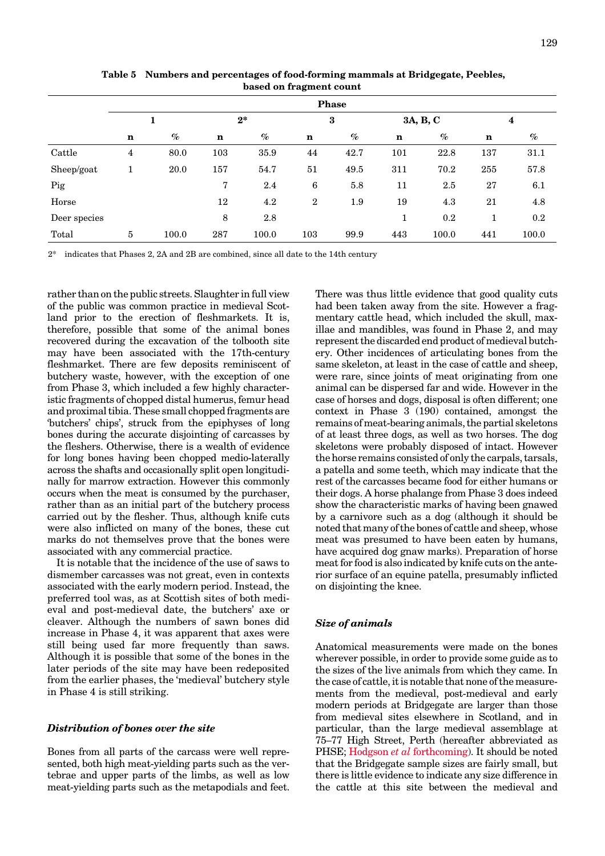<span id="page-3-0"></span>

|              | <b>Phase</b>   |       |                |       |                  |      |          |         |             |         |
|--------------|----------------|-------|----------------|-------|------------------|------|----------|---------|-------------|---------|
|              | 1              |       | $2^*$          |       | $\bf{3}$         |      | 3A, B, C |         | 4           |         |
|              | $\mathbf n$    | $\%$  | $\mathbf n$    | $\%$  | $\mathbf n$      | $\%$ | n        | $\%$    | $\mathbf n$ | $\%$    |
| Cattle       | $\overline{4}$ | 80.0  | 103            | 35.9  | 44               | 42.7 | 101      | 22.8    | 137         | 31.1    |
| Sheep/goat   |                | 20.0  | 157            | 54.7  | 51               | 49.5 | 311      | 70.2    | 255         | 57.8    |
| Pig          |                |       | $\overline{7}$ | 2.4   | 6                | 5.8  | 11       | 2.5     | 27          | 6.1     |
| Horse        |                |       | 12             | 4.2   | $\boldsymbol{2}$ | 1.9  | 19       | 4.3     | 21          | 4.8     |
| Deer species |                |       | 8              | 2.8   |                  |      | 1        | $0.2\,$ | 1           | $0.2\,$ |
| Total        | $\bf 5$        | 100.0 | 287            | 100.0 | 103              | 99.9 | 443      | 100.0   | 441         | 100.0   |

**Table 5 Numbers and percentages of food-forming mammals at Bridgegate, Peebles, based on fragment count**

2\* indicates that Phases 2, 2A and 2B are combined, since all date to the 14th century

rather than on the public streets. Slaughter in full view of the public was common practice in medieval Scotland prior to the erection of fleshmarkets. It is, therefore, possible that some of the animal bones recovered during the excavation of the tolbooth site may have been associated with the 17th-century fleshmarket. There are few deposits reminiscent of butchery waste, however, with the exception of one from Phase 3, which included a few highly characteristic fragments of chopped distal humerus, femur head and proximal tibia. These small chopped fragments are 'butchers' chips', struck from the epiphyses of long bones during the accurate disjointing of carcasses by the fleshers. Otherwise, there is a wealth of evidence for long bones having been chopped medio-laterally across the shafts and occasionally split open longitudinally for marrow extraction. However this commonly occurs when the meat is consumed by the purchaser, rather than as an initial part of the butchery process carried out by the flesher. Thus, although knife cuts were also inflicted on many of the bones, these cut marks do not themselves prove that the bones were associated with any commercial practice.

It is notable that the incidence of the use of saws to dismember carcasses was not great, even in contexts associated with the early modern period. Instead, the preferred tool was, as at Scottish sites of both medieval and post-medieval date, the butchers' axe or cleaver. Although the numbers of sawn bones did increase in Phase 4, it was apparent that axes were still being used far more frequently than saws. Although it is possible that some of the bones in the later periods of the site may have been redeposited from the earlier phases, the 'medieval' butchery style in Phase 4 is still striking.

### *Distribution of bones over the site*

Bones from all parts of the carcass were well represented, both high meat-yielding parts such as the vertebrae and upper parts of the limbs, as well as low meat-yielding parts such as the metapodials and feet. There was thus little evidence that good quality cuts had been taken away from the site. However a fragmentary cattle head, which included the skull, maxillae and mandibles, was found in Phase 2, and may represent the discarded end product of medieval butchery. Other incidences of articulating bones from the same skeleton, at least in the case of cattle and sheep, were rare, since joints of meat originating from one animal can be dispersed far and wide. However in the case of horses and dogs, disposal is often different; one context in Phase 3 (190) contained, amongst the remains of meat-bearing animals, the partial skeletons of at least three dogs, as well as two horses. The dog skeletons were probably disposed of intact. However the horse remains consisted of only the carpals, tarsals, a patella and some teeth, which may indicate that the rest of the carcasses became food for either humans or their dogs. A horse phalange from Phase 3 does indeed show the characteristic marks of having been gnawed by a carnivore such as a dog (although it should be noted that many of the bones of cattle and sheep, whose meat was presumed to have been eaten by humans, have acquired dog gnaw marks). Preparation of horse meat for food is also indicated by knife cuts on the anterior surface of an equine patella, presumably inflicted on disjointing the knee.

#### *Size of animals*

Anatomical measurements were made on the bones wherever possible, in order to provide some guide as to the sizes of the live animals from which they came. In the case of cattle, it is notable that none of the measurements from the medieval, post-medieval and early modern periods at Bridgegate are larger than those from medieval sites elsewhere in Scotland, and in particular, than the large medieval assemblage at 75–77 High Street, Perth (hereafter abbreviated as PHSE; Hodgson *et al* [forthcoming\).](#page-1-0) It should be noted that the Bridgegate sample sizes are fairly small, but there is little evidence to indicate any size difference in the cattle at this site between the medieval and